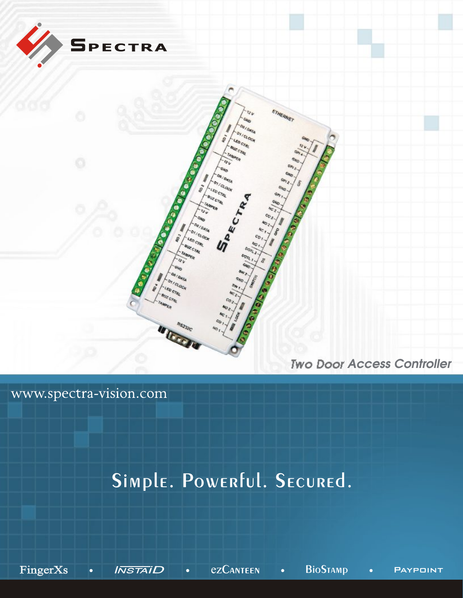

## www.spectra-vision.com

# Simple. Powerful. Secured.